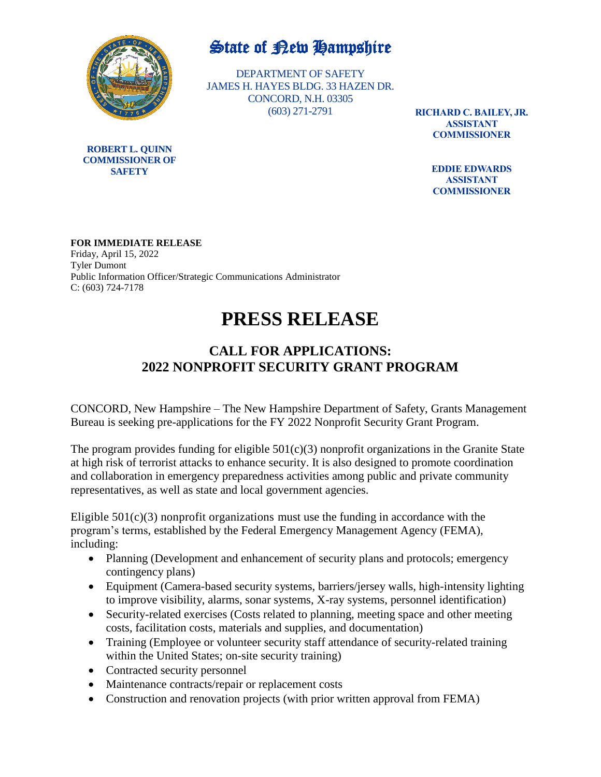

## State of New Hampshire

DEPARTMENT OF SAFETY JAMES H. HAYES BLDG. 33 HAZEN DR. CONCORD, N.H. 03305 (603) 271-2791

**RICHARD C. BAILEY, JR. ASSISTANT COMMISSIONER**

> **EDDIE EDWARDS ASSISTANT COMMISSIONER**

**FOR IMMEDIATE RELEASE** Friday, April 15, 2022 Tyler Dumont Public Information Officer/Strategic Communications Administrator C: (603) 724-7178

## **PRESS RELEASE**

## **CALL FOR APPLICATIONS: 2022 NONPROFIT SECURITY GRANT PROGRAM**

CONCORD, New Hampshire – The New Hampshire Department of Safety, Grants Management Bureau is seeking pre-applications for the FY 2022 Nonprofit Security Grant Program.

The program provides funding for eligible  $501(c)(3)$  nonprofit organizations in the Granite State at high risk of terrorist attacks to enhance security. It is also designed to promote coordination and collaboration in emergency preparedness activities among public and private community representatives, as well as state and local government agencies.

Eligible  $501(c)(3)$  nonprofit organizations must use the funding in accordance with the program's terms, established by the Federal Emergency Management Agency (FEMA), including:

- Planning (Development and enhancement of security plans and protocols; emergency contingency plans)
- Equipment (Camera-based security systems, barriers/jersey walls, high-intensity lighting to improve visibility, alarms, sonar systems, X-ray systems, personnel identification)
- Security-related exercises (Costs related to planning, meeting space and other meeting costs, facilitation costs, materials and supplies, and documentation)
- Training (Employee or volunteer security staff attendance of security-related training within the United States; on-site security training)
- Contracted security personnel
- Maintenance contracts/repair or replacement costs
- Construction and renovation projects (with prior written approval from FEMA)

**ROBERT L. QUINN COMMISSIONER OF SAFETY**